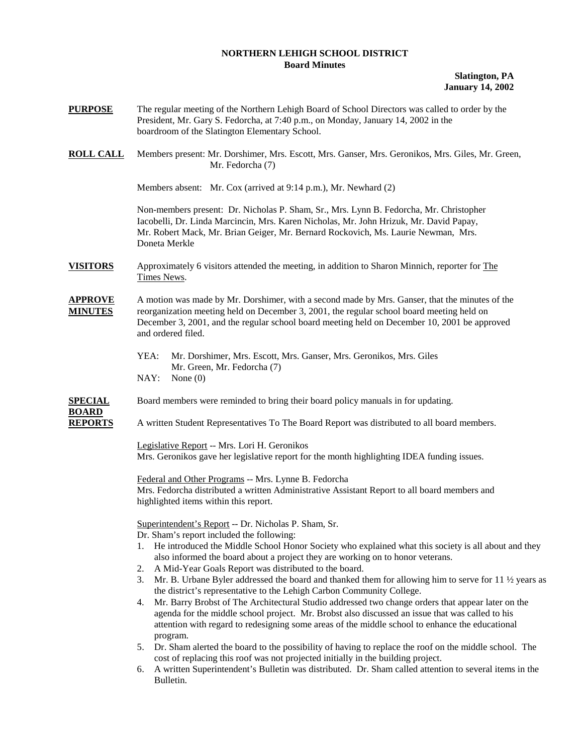## **NORTHERN LEHIGH SCHOOL DISTRICT Board Minutes**

**Slatington, PA January 14, 2002** 

- **PURPOSE** The regular meeting of the Northern Lehigh Board of School Directors was called to order by the President, Mr. Gary S. Fedorcha, at 7:40 p.m., on Monday, January 14, 2002 in the boardroom of the Slatington Elementary School. **ROLL CALL** Members present: Mr. Dorshimer, Mrs. Escott, Mrs. Ganser, Mrs. Geronikos, Mrs. Giles, Mr. Green, Mr. Fedorcha (7) Members absent: Mr. Cox (arrived at 9:14 p.m.), Mr. Newhard (2) Non-members present: Dr. Nicholas P. Sham, Sr., Mrs. Lynn B. Fedorcha, Mr. Christopher Iacobelli, Dr. Linda Marcincin, Mrs. Karen Nicholas, Mr. John Hrizuk, Mr. David Papay, Mr. Robert Mack, Mr. Brian Geiger, Mr. Bernard Rockovich, Ms. Laurie Newman, Mrs. Doneta Merkle **VISITORS** Approximately 6 visitors attended the meeting, in addition to Sharon Minnich, reporter for The Times News. **APPROVE** A motion was made by Mr. Dorshimer, with a second made by Mrs. Ganser, that the minutes of the **MINUTES** reorganization meeting held on December 3, 2001, the regular school board meeting held on December 3, 2001, and the regular school board meeting held on December 10, 2001 be approved and ordered filed. YEA: Mr. Dorshimer, Mrs. Escott, Mrs. Ganser, Mrs. Geronikos, Mrs. Giles Mr. Green, Mr. Fedorcha (7) NAY: None (0) **SPECIAL** Board members were reminded to bring their board policy manuals in for updating. **BOARD REPORTS** A written Student Representatives To The Board Report was distributed to all board members. Legislative Report -- Mrs. Lori H. Geronikos Mrs. Geronikos gave her legislative report for the month highlighting IDEA funding issues. Federal and Other Programs -- Mrs. Lynne B. Fedorcha Mrs. Fedorcha distributed a written Administrative Assistant Report to all board members and highlighted items within this report. Superintendent's Report -- Dr. Nicholas P. Sham, Sr. Dr. Sham's report included the following: 1. He introduced the Middle School Honor Society who explained what this society is all about and they also informed the board about a project they are working on to honor veterans. 2. A Mid-Year Goals Report was distributed to the board. 3. Mr. B. Urbane Byler addressed the board and thanked them for allowing him to serve for 11  $\frac{1}{2}$  years as the district's representative to the Lehigh Carbon Community College. 4. Mr. Barry Brobst of The Architectural Studio addressed two change orders that appear later on the agenda for the middle school project. Mr. Brobst also discussed an issue that was called to his attention with regard to redesigning some areas of the middle school to enhance the educational program. 5. Dr. Sham alerted the board to the possibility of having to replace the roof on the middle school. The cost of replacing this roof was not projected initially in the building project.
	- 6. A written Superintendent's Bulletin was distributed. Dr. Sham called attention to several items in the Bulletin.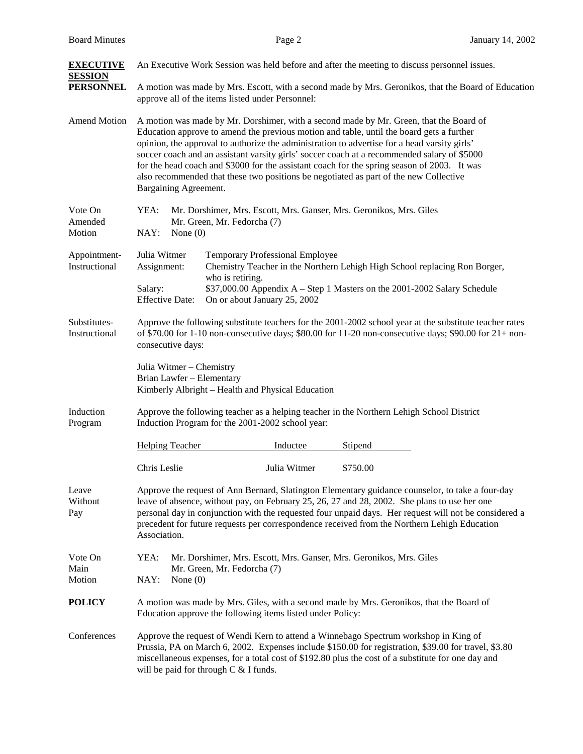| <b>EXECUTIVE</b><br><b>SESSION</b> | An Executive Work Session was held before and after the meeting to discuss personnel issues.                                                                                                                                                                                                                                                                                                                                                                                                                                                                                                       |  |
|------------------------------------|----------------------------------------------------------------------------------------------------------------------------------------------------------------------------------------------------------------------------------------------------------------------------------------------------------------------------------------------------------------------------------------------------------------------------------------------------------------------------------------------------------------------------------------------------------------------------------------------------|--|
| <b>PERSONNEL</b>                   | A motion was made by Mrs. Escott, with a second made by Mrs. Geronikos, that the Board of Education<br>approve all of the items listed under Personnel:                                                                                                                                                                                                                                                                                                                                                                                                                                            |  |
| <b>Amend Motion</b>                | A motion was made by Mr. Dorshimer, with a second made by Mr. Green, that the Board of<br>Education approve to amend the previous motion and table, until the board gets a further<br>opinion, the approval to authorize the administration to advertise for a head varsity girls'<br>soccer coach and an assistant varsity girls' soccer coach at a recommended salary of \$5000<br>for the head coach and \$3000 for the assistant coach for the spring season of 2003. It was<br>also recommended that these two positions be negotiated as part of the new Collective<br>Bargaining Agreement. |  |
| Vote On                            | YEA:<br>Mr. Dorshimer, Mrs. Escott, Mrs. Ganser, Mrs. Geronikos, Mrs. Giles                                                                                                                                                                                                                                                                                                                                                                                                                                                                                                                        |  |
| Amended<br>Motion                  | Mr. Green, Mr. Fedorcha (7)<br>NAY:<br>None $(0)$                                                                                                                                                                                                                                                                                                                                                                                                                                                                                                                                                  |  |
| Appointment-<br>Instructional      | Julia Witmer<br><b>Temporary Professional Employee</b><br>Chemistry Teacher in the Northern Lehigh High School replacing Ron Borger,<br>Assignment:<br>who is retiring.                                                                                                                                                                                                                                                                                                                                                                                                                            |  |
|                                    | \$37,000.00 Appendix A – Step 1 Masters on the 2001-2002 Salary Schedule<br>Salary:<br><b>Effective Date:</b><br>On or about January 25, 2002                                                                                                                                                                                                                                                                                                                                                                                                                                                      |  |
| Substitutes-<br>Instructional      | Approve the following substitute teachers for the 2001-2002 school year at the substitute teacher rates<br>of \$70.00 for 1-10 non-consecutive days; \$80.00 for 11-20 non-consecutive days; \$90.00 for $21+$ non-<br>consecutive days:                                                                                                                                                                                                                                                                                                                                                           |  |
|                                    | Julia Witmer - Chemistry<br>Brian Lawfer - Elementary<br>Kimberly Albright - Health and Physical Education                                                                                                                                                                                                                                                                                                                                                                                                                                                                                         |  |
| Induction<br>Program               | Approve the following teacher as a helping teacher in the Northern Lehigh School District<br>Induction Program for the 2001-2002 school year:                                                                                                                                                                                                                                                                                                                                                                                                                                                      |  |
|                                    | <b>Helping Teacher</b><br>Stipend<br>Inductee                                                                                                                                                                                                                                                                                                                                                                                                                                                                                                                                                      |  |
|                                    | Chris Leslie<br>Julia Witmer<br>\$750.00                                                                                                                                                                                                                                                                                                                                                                                                                                                                                                                                                           |  |
| Leave<br>Without<br>Pay            | Approve the request of Ann Bernard, Slatington Elementary guidance counselor, to take a four-day<br>leave of absence, without pay, on February 25, 26, 27 and 28, 2002. She plans to use her one<br>personal day in conjunction with the requested four unpaid days. Her request will not be considered a<br>precedent for future requests per correspondence received from the Northern Lehigh Education<br>Association.                                                                                                                                                                          |  |
| Vote On<br>Main<br>Motion          | YEA:<br>Mr. Dorshimer, Mrs. Escott, Mrs. Ganser, Mrs. Geronikos, Mrs. Giles<br>Mr. Green, Mr. Fedorcha (7)<br>NAY:<br>None $(0)$                                                                                                                                                                                                                                                                                                                                                                                                                                                                   |  |
| <b>POLICY</b>                      | A motion was made by Mrs. Giles, with a second made by Mrs. Geronikos, that the Board of<br>Education approve the following items listed under Policy:                                                                                                                                                                                                                                                                                                                                                                                                                                             |  |
| Conferences                        | Approve the request of Wendi Kern to attend a Winnebago Spectrum workshop in King of<br>Prussia, PA on March 6, 2002. Expenses include \$150.00 for registration, \$39.00 for travel, \$3.80<br>miscellaneous expenses, for a total cost of \$192.80 plus the cost of a substitute for one day and<br>will be paid for through $C < I$ funds.                                                                                                                                                                                                                                                      |  |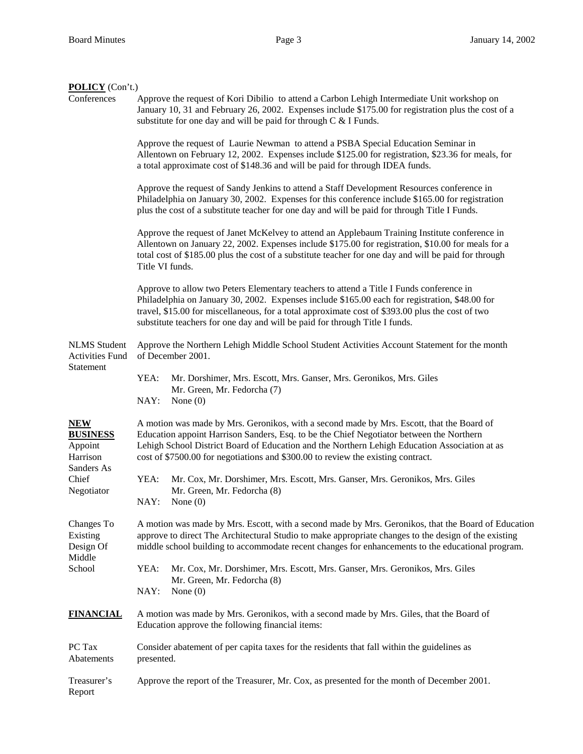| <b>POLICY</b> (Con't.)                                                                    |                                                                                                                                                                                                                                                                                                                                                                              |
|-------------------------------------------------------------------------------------------|------------------------------------------------------------------------------------------------------------------------------------------------------------------------------------------------------------------------------------------------------------------------------------------------------------------------------------------------------------------------------|
| Conferences                                                                               | Approve the request of Kori Dibilio to attend a Carbon Lehigh Intermediate Unit workshop on<br>January 10, 31 and February 26, 2002. Expenses include \$175.00 for registration plus the cost of a<br>substitute for one day and will be paid for through $C < I$ Funds.                                                                                                     |
|                                                                                           | Approve the request of Laurie Newman to attend a PSBA Special Education Seminar in<br>Allentown on February 12, 2002. Expenses include \$125.00 for registration, \$23.36 for meals, for<br>a total approximate cost of \$148.36 and will be paid for through IDEA funds.                                                                                                    |
|                                                                                           | Approve the request of Sandy Jenkins to attend a Staff Development Resources conference in<br>Philadelphia on January 30, 2002. Expenses for this conference include \$165.00 for registration<br>plus the cost of a substitute teacher for one day and will be paid for through Title I Funds.                                                                              |
|                                                                                           | Approve the request of Janet McKelvey to attend an Applebaum Training Institute conference in<br>Allentown on January 22, 2002. Expenses include \$175.00 for registration, \$10.00 for meals for a<br>total cost of \$185.00 plus the cost of a substitute teacher for one day and will be paid for through<br>Title VI funds.                                              |
|                                                                                           | Approve to allow two Peters Elementary teachers to attend a Title I Funds conference in<br>Philadelphia on January 30, 2002. Expenses include \$165.00 each for registration, \$48.00 for<br>travel, \$15.00 for miscellaneous, for a total approximate cost of \$393.00 plus the cost of two<br>substitute teachers for one day and will be paid for through Title I funds. |
| <b>NLMS</b> Student<br><b>Activities Fund</b><br>Statement                                | Approve the Northern Lehigh Middle School Student Activities Account Statement for the month<br>of December 2001.                                                                                                                                                                                                                                                            |
|                                                                                           | YEA:<br>Mr. Dorshimer, Mrs. Escott, Mrs. Ganser, Mrs. Geronikos, Mrs. Giles<br>Mr. Green, Mr. Fedorcha (7)<br>NAY:<br>None $(0)$                                                                                                                                                                                                                                             |
| <b>NEW</b><br><b>BUSINESS</b><br>Appoint<br>Harrison<br>Sanders As<br>Chief<br>Negotiator | A motion was made by Mrs. Geronikos, with a second made by Mrs. Escott, that the Board of<br>Education appoint Harrison Sanders, Esq. to be the Chief Negotiator between the Northern<br>Lehigh School District Board of Education and the Northern Lehigh Education Association at as<br>cost of \$7500.00 for negotiations and \$300.00 to review the existing contract.   |
|                                                                                           | YEA:<br>Mr. Cox, Mr. Dorshimer, Mrs. Escott, Mrs. Ganser, Mrs. Geronikos, Mrs. Giles<br>Mr. Green, Mr. Fedorcha (8)<br>NAY:<br>None $(0)$                                                                                                                                                                                                                                    |
| Changes To<br>Existing<br>Design Of<br>Middle<br>School                                   | A motion was made by Mrs. Escott, with a second made by Mrs. Geronikos, that the Board of Education<br>approve to direct The Architectural Studio to make appropriate changes to the design of the existing<br>middle school building to accommodate recent changes for enhancements to the educational program.                                                             |
|                                                                                           | YEA:<br>Mr. Cox, Mr. Dorshimer, Mrs. Escott, Mrs. Ganser, Mrs. Geronikos, Mrs. Giles<br>Mr. Green, Mr. Fedorcha (8)<br>NAY:<br>None $(0)$                                                                                                                                                                                                                                    |
| <b>FINANCIAL</b>                                                                          | A motion was made by Mrs. Geronikos, with a second made by Mrs. Giles, that the Board of<br>Education approve the following financial items:                                                                                                                                                                                                                                 |
| PC Tax<br>Abatements                                                                      | Consider abatement of per capita taxes for the residents that fall within the guidelines as<br>presented.                                                                                                                                                                                                                                                                    |
| Treasurer's<br>Report                                                                     | Approve the report of the Treasurer, Mr. Cox, as presented for the month of December 2001.                                                                                                                                                                                                                                                                                   |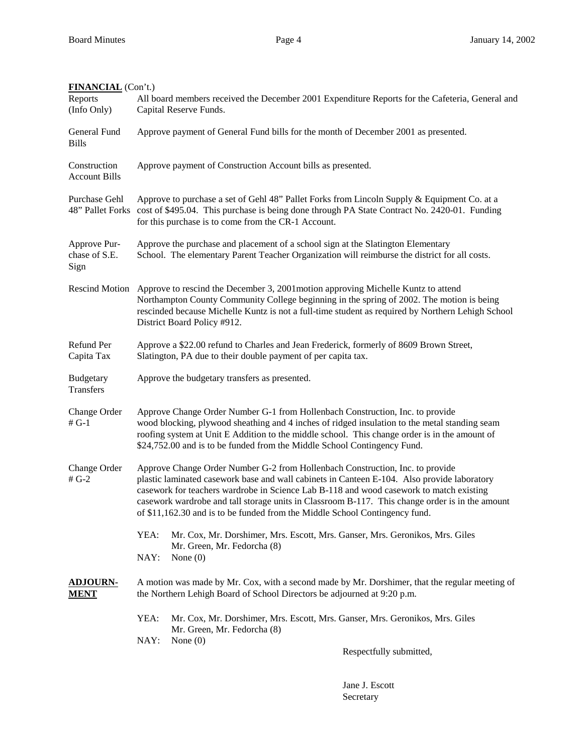| <b>FINANCIAL</b> (Con't.)             |                                                                                                                                                                                                                                                                                                                                                                                                                                                           |
|---------------------------------------|-----------------------------------------------------------------------------------------------------------------------------------------------------------------------------------------------------------------------------------------------------------------------------------------------------------------------------------------------------------------------------------------------------------------------------------------------------------|
| Reports<br>(Info Only)                | All board members received the December 2001 Expenditure Reports for the Cafeteria, General and<br>Capital Reserve Funds.                                                                                                                                                                                                                                                                                                                                 |
| General Fund<br><b>Bills</b>          | Approve payment of General Fund bills for the month of December 2001 as presented.                                                                                                                                                                                                                                                                                                                                                                        |
| Construction<br><b>Account Bills</b>  | Approve payment of Construction Account bills as presented.                                                                                                                                                                                                                                                                                                                                                                                               |
| Purchase Gehl                         | Approve to purchase a set of Gehl 48" Pallet Forks from Lincoln Supply & Equipment Co. at a<br>48" Pallet Forks cost of \$495.04. This purchase is being done through PA State Contract No. 2420-01. Funding<br>for this purchase is to come from the CR-1 Account.                                                                                                                                                                                       |
| Approve Pur-<br>chase of S.E.<br>Sign | Approve the purchase and placement of a school sign at the Slatington Elementary<br>School. The elementary Parent Teacher Organization will reimburse the district for all costs.                                                                                                                                                                                                                                                                         |
|                                       | Rescind Motion Approve to rescind the December 3, 2001 motion approving Michelle Kuntz to attend<br>Northampton County Community College beginning in the spring of 2002. The motion is being<br>rescinded because Michelle Kuntz is not a full-time student as required by Northern Lehigh School<br>District Board Policy #912.                                                                                                                         |
| Refund Per<br>Capita Tax              | Approve a \$22.00 refund to Charles and Jean Frederick, formerly of 8609 Brown Street,<br>Slatington, PA due to their double payment of per capita tax.                                                                                                                                                                                                                                                                                                   |
| <b>Budgetary</b><br>Transfers         | Approve the budgetary transfers as presented.                                                                                                                                                                                                                                                                                                                                                                                                             |
| Change Order<br>$#G-1$                | Approve Change Order Number G-1 from Hollenbach Construction, Inc. to provide<br>wood blocking, plywood sheathing and 4 inches of ridged insulation to the metal standing seam<br>roofing system at Unit E Addition to the middle school. This change order is in the amount of<br>\$24,752.00 and is to be funded from the Middle School Contingency Fund.                                                                                               |
| Change Order<br># $G-2$               | Approve Change Order Number G-2 from Hollenbach Construction, Inc. to provide<br>plastic laminated casework base and wall cabinets in Canteen E-104. Also provide laboratory<br>casework for teachers wardrobe in Science Lab B-118 and wood casework to match existing<br>casework wardrobe and tall storage units in Classroom B-117. This change order is in the amount<br>of \$11,162.30 and is to be funded from the Middle School Contingency fund. |
|                                       | YEA:<br>Mr. Cox, Mr. Dorshimer, Mrs. Escott, Mrs. Ganser, Mrs. Geronikos, Mrs. Giles<br>Mr. Green, Mr. Fedorcha (8)<br>NAY:<br>None $(0)$                                                                                                                                                                                                                                                                                                                 |
| <b>ADJOURN-</b><br><u>MENT</u>        | A motion was made by Mr. Cox, with a second made by Mr. Dorshimer, that the regular meeting of<br>the Northern Lehigh Board of School Directors be adjourned at 9:20 p.m.                                                                                                                                                                                                                                                                                 |
|                                       | YEA:<br>Mr. Cox, Mr. Dorshimer, Mrs. Escott, Mrs. Ganser, Mrs. Geronikos, Mrs. Giles<br>Mr. Green, Mr. Fedorcha (8)<br>NAY:<br>None $(0)$                                                                                                                                                                                                                                                                                                                 |
|                                       | Respectfully submitted,                                                                                                                                                                                                                                                                                                                                                                                                                                   |

 Jane J. Escott Secretary